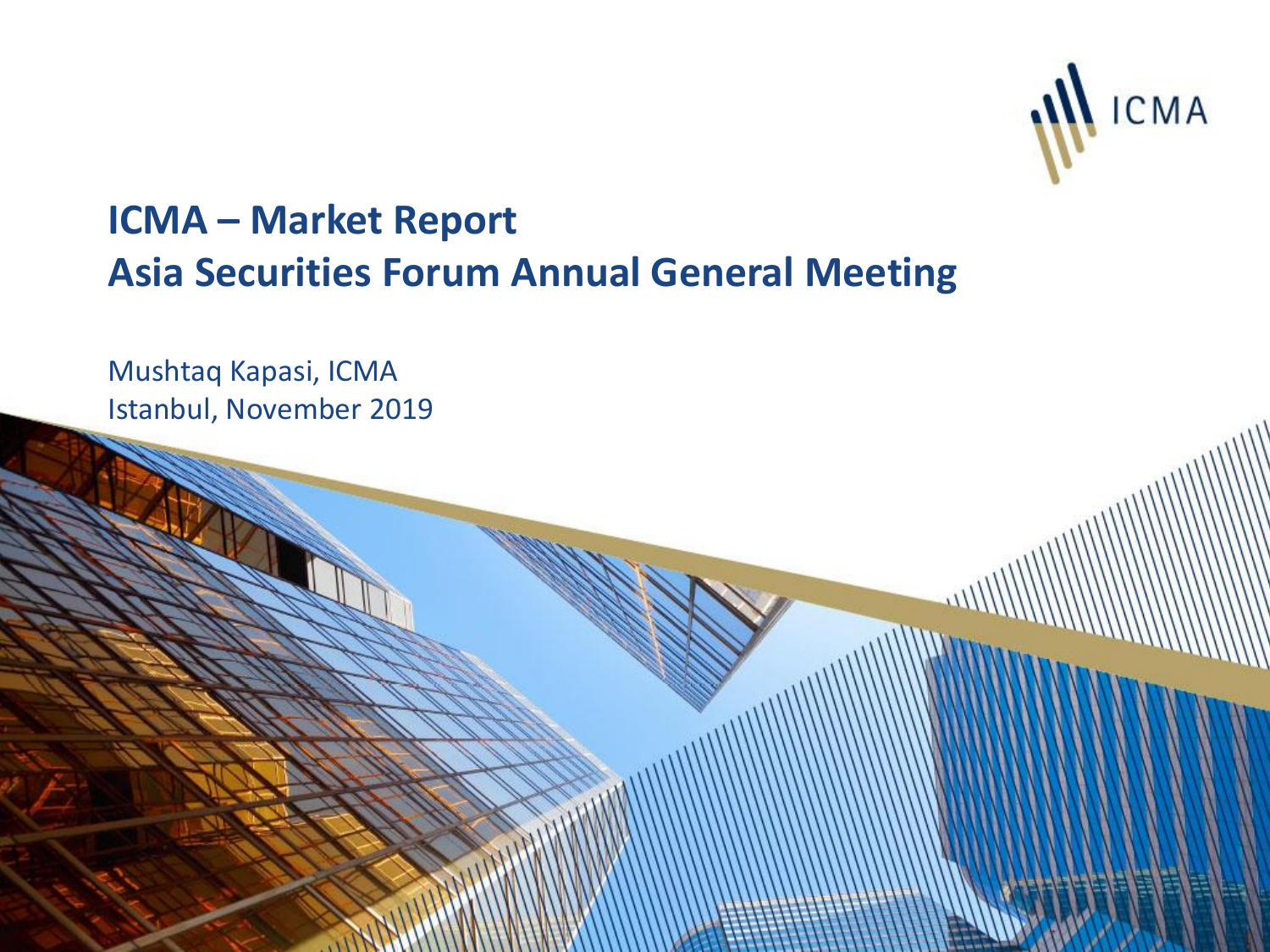

# **ICMA – Market Report Asia Securities Forum Annual General Meeting**

Mushtaq Kapasi, ICMA Istanbul, November 2019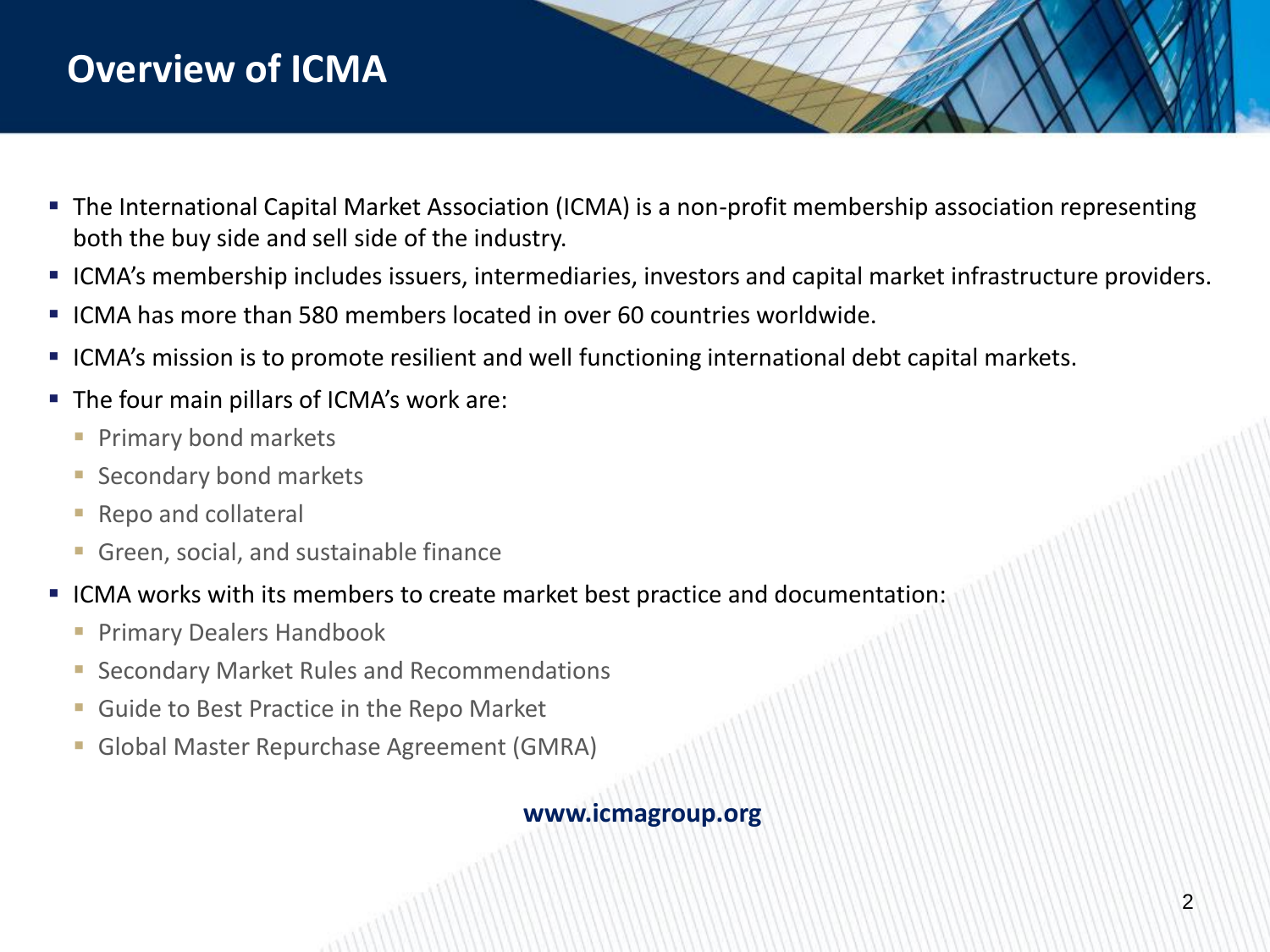## **Overview of ICMA**

- The International Capital Market Association (ICMA) is a non-profit membership association representing both the buy side and sell side of the industry.
- ICMA's membership includes issuers, intermediaries, investors and capital market infrastructure providers.
- ICMA has more than 580 members located in over 60 countries worldwide.
- ICMA's mission is to promote resilient and well functioning international debt capital markets.
- **The four main pillars of ICMA's work are:** 
	- **Primary bond markets**
	- **Secondary bond markets**
	- **Repo and collateral**
	- **Green, social, and sustainable finance**
- ICMA works with its members to create market best practice and documentation:
	- **Primary Dealers Handbook**
	- **Secondary Market Rules and Recommendations**
	- **Guide to Best Practice in the Repo Market**
	- Global Master Repurchase Agreement (GMRA)

#### **www.icmagroup.org**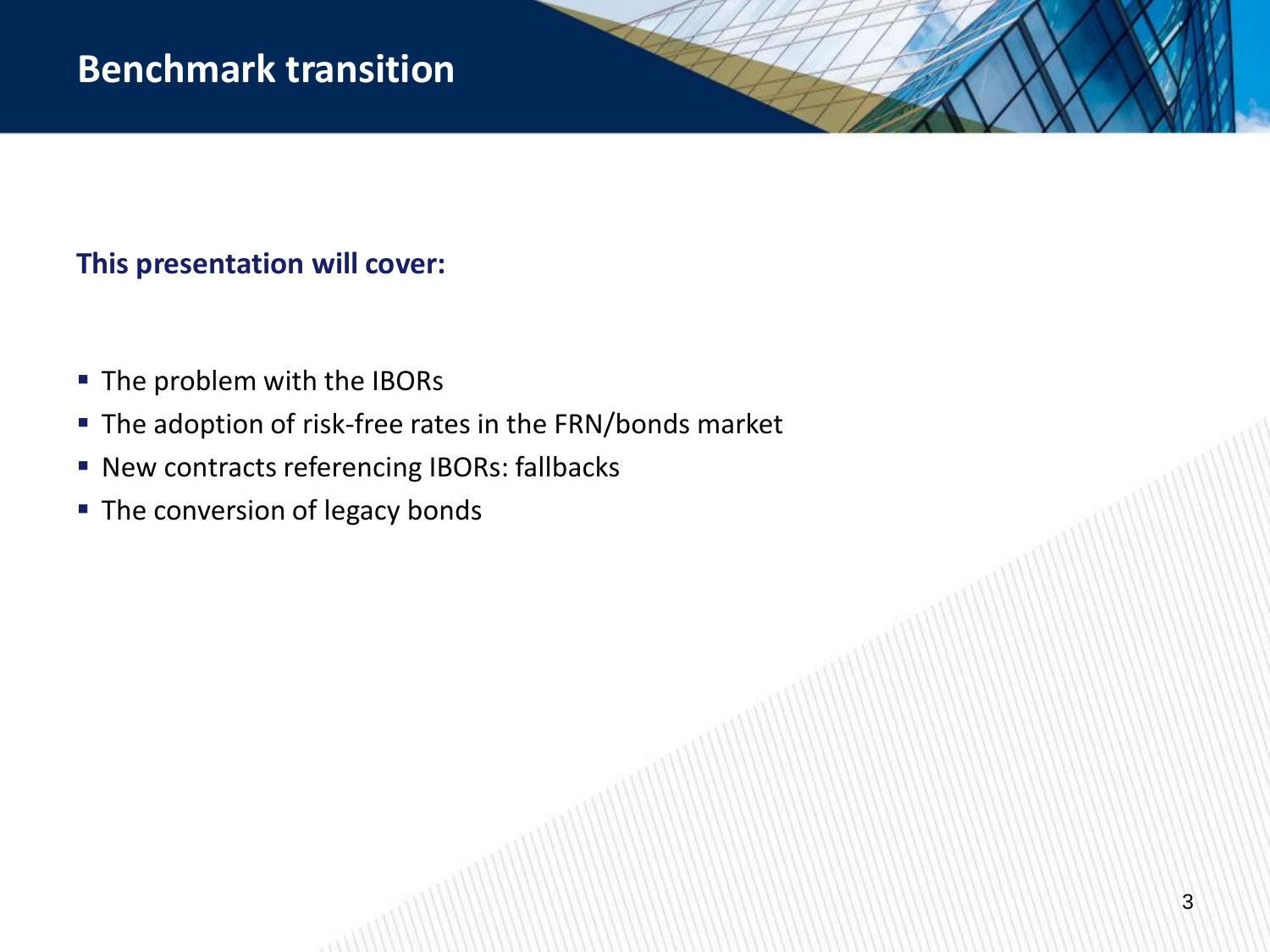## **Benchmark transition**

## **This presentation will cover:**

- The problem with the IBORs
- **The adoption of risk-free rates in the FRN/bonds market**
- **New contracts referencing IBORs: fallbacks**
- The conversion of legacy bonds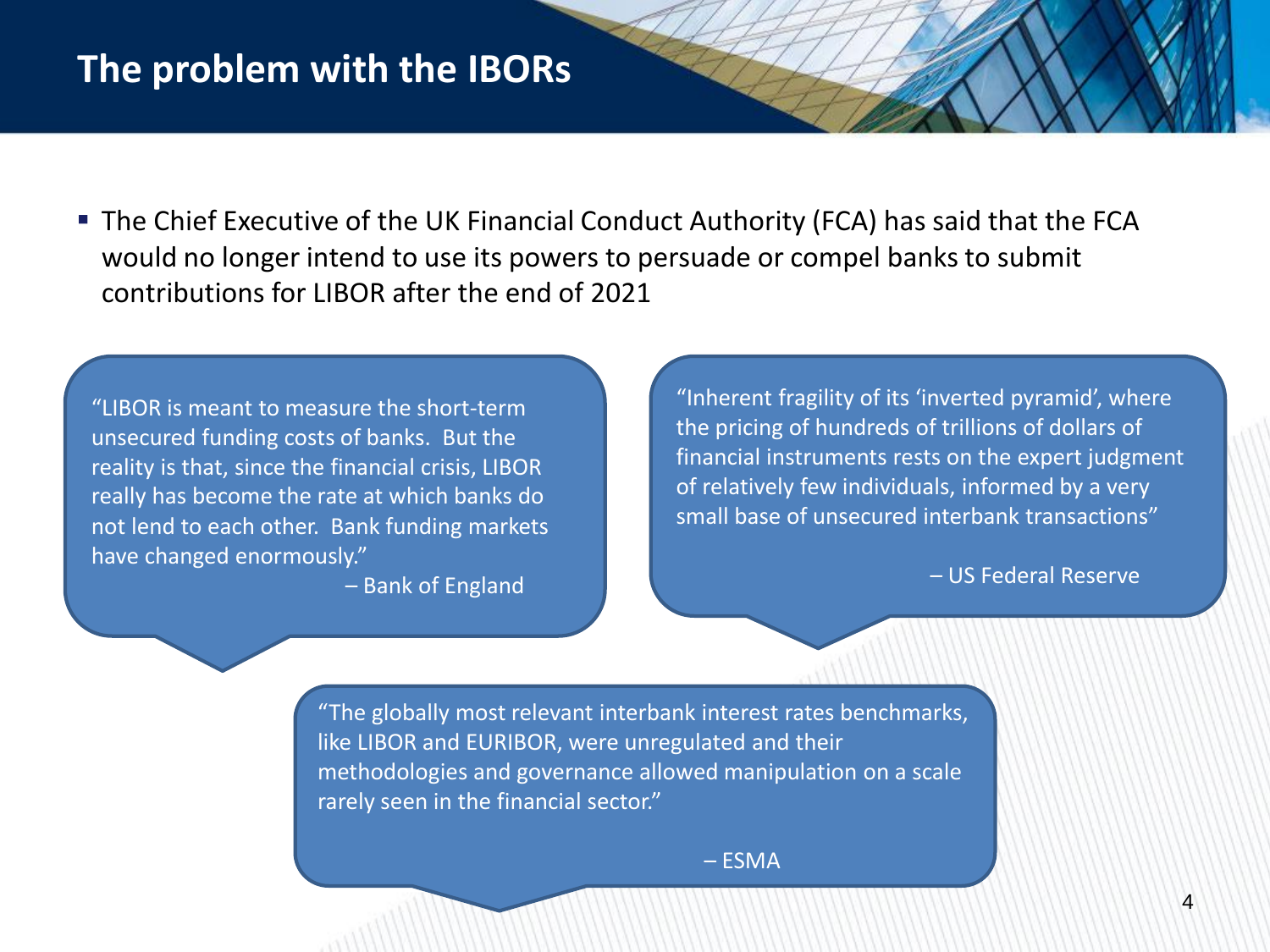## **The problem with the IBORs**

 The Chief Executive of the UK Financial Conduct Authority (FCA) has said that the FCA would no longer intend to use its powers to persuade or compel banks to submit contributions for LIBOR after the end of 2021

"LIBOR is meant to measure the short-term unsecured funding costs of banks. But the reality is that, since the financial crisis, LIBOR really has become the rate at which banks do not lend to each other. Bank funding markets have changed enormously."

– Bank of England

"Inherent fragility of its 'inverted pyramid', where the pricing of hundreds of trillions of dollars of financial instruments rests on the expert judgment of relatively few individuals, informed by a very small base of unsecured interbank transactions"

– US Federal Reserve

"The globally most relevant interbank interest rates benchmarks, like LIBOR and EURIBOR, were unregulated and their methodologies and governance allowed manipulation on a scale rarely seen in the financial sector."

– ESMA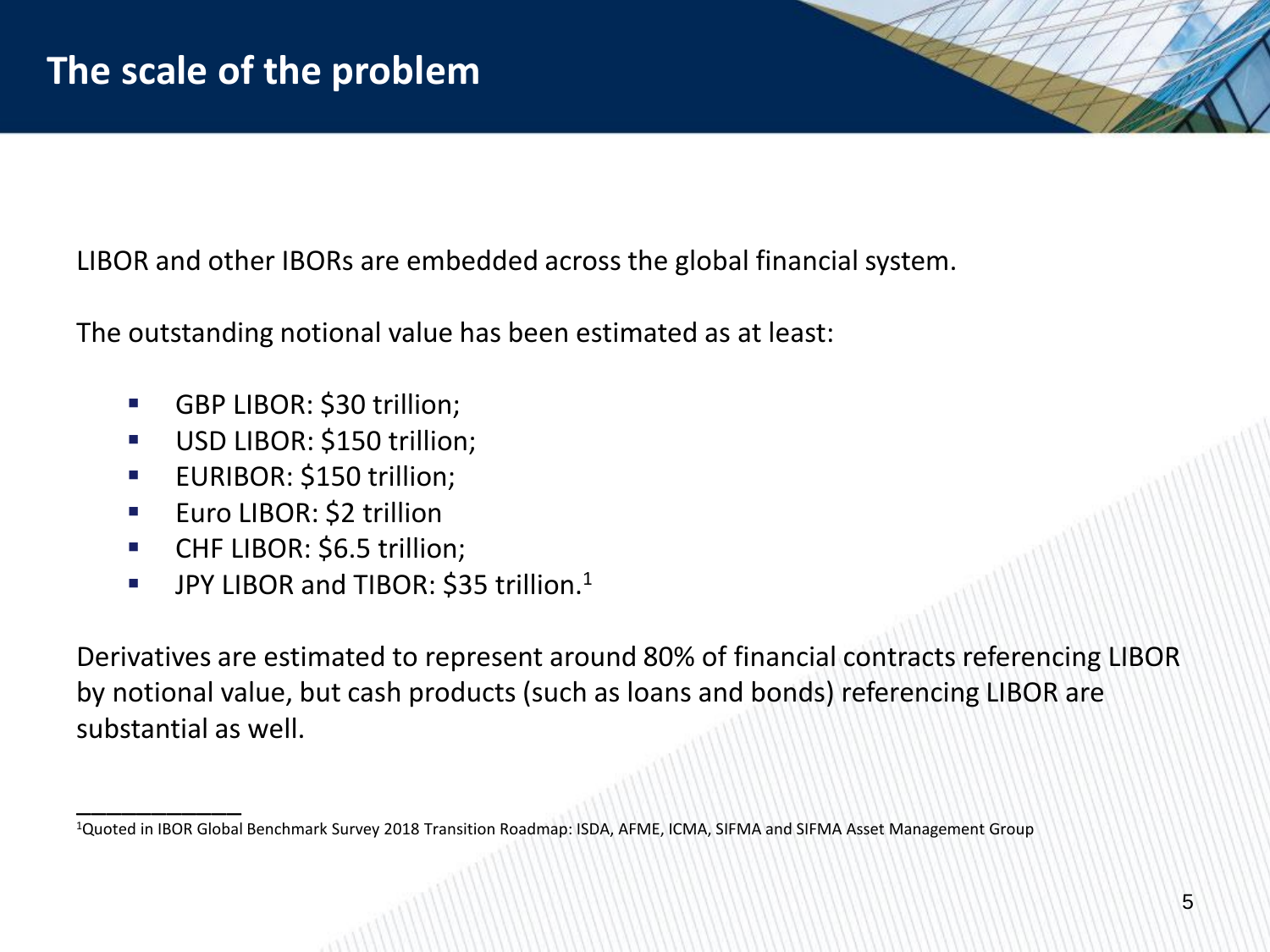LIBOR and other IBORs are embedded across the global financial system.

The outstanding notional value has been estimated as at least:

- **GBP LIBOR: \$30 trillion;**
- **USD LIBOR: \$150 trillion;**
- **EURIBOR: \$150 trillion;**
- **Euro LIBOR: \$2 trillion**

\_\_\_\_\_\_\_\_\_\_\_

- **CHF LIBOR: \$6.5 trillion;**
- **JPY LIBOR and TIBOR: \$35 trillion.**<sup>1</sup>

Derivatives are estimated to represent around 80% of financial contracts referencing LIBOR by notional value, but cash products (such as loans and bonds) referencing LIBOR are substantial as well.

<sup>1</sup>Quoted in IBOR Global Benchmark Survey 2018 Transition Roadmap: ISDA, AFME, ICMA, SIFMA and SIFMA Asset Management Group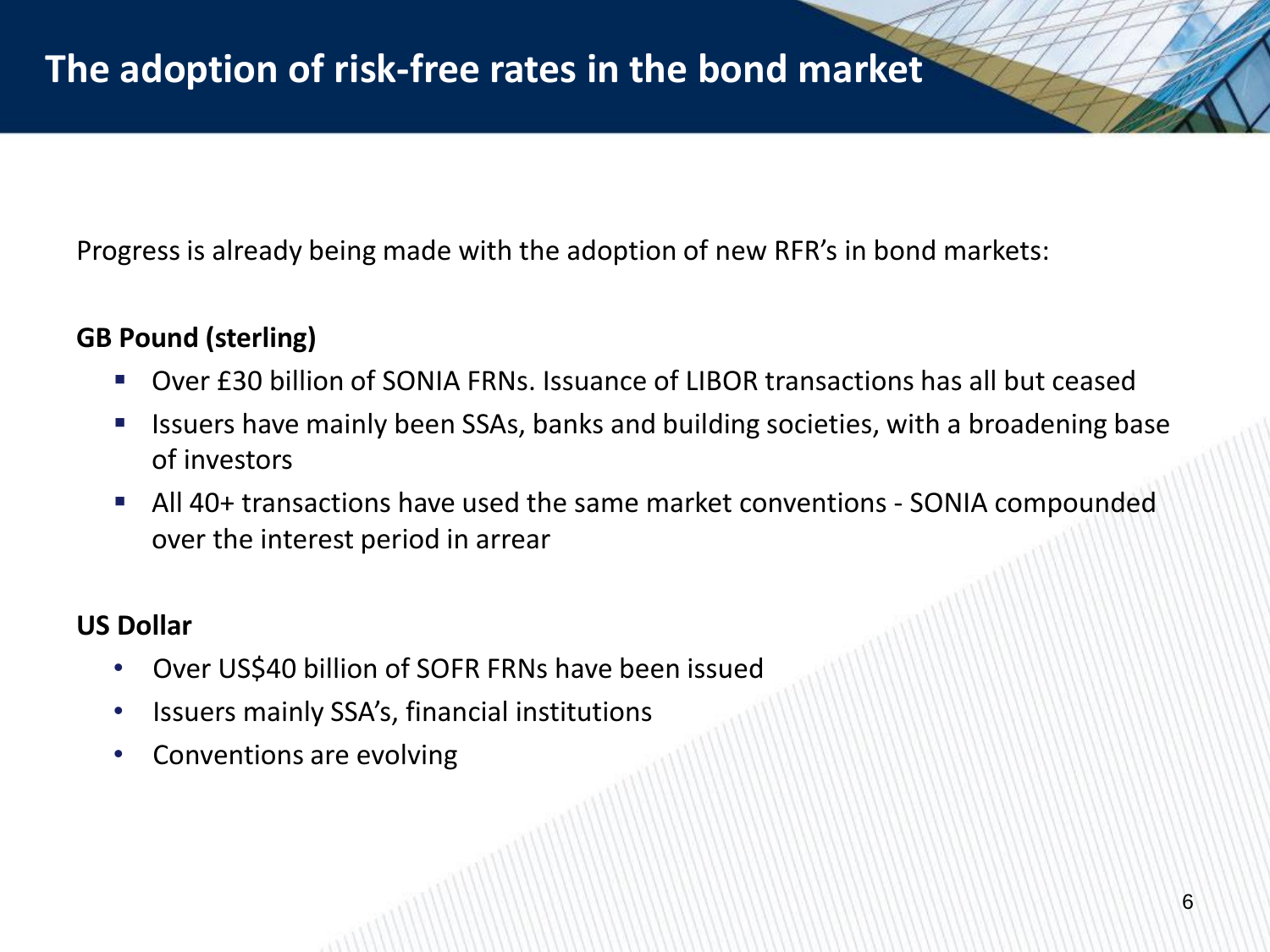Progress is already being made with the adoption of new RFR's in bond markets:

### **GB Pound (sterling)**

- Over £30 billion of SONIA FRNs. Issuance of LIBOR transactions has all but ceased
- **If Itherata is absorpt** 15 Issuers have mainly been SSAs, banks and building societies, with a broadening base of investors
- All 40+ transactions have used the same market conventions SONIA compounded over the interest period in arrear

#### **US Dollar**

- Over US\$40 billion of SOFR FRNs have been issued
- Issuers mainly SSA's, financial institutions
- Conventions are evolving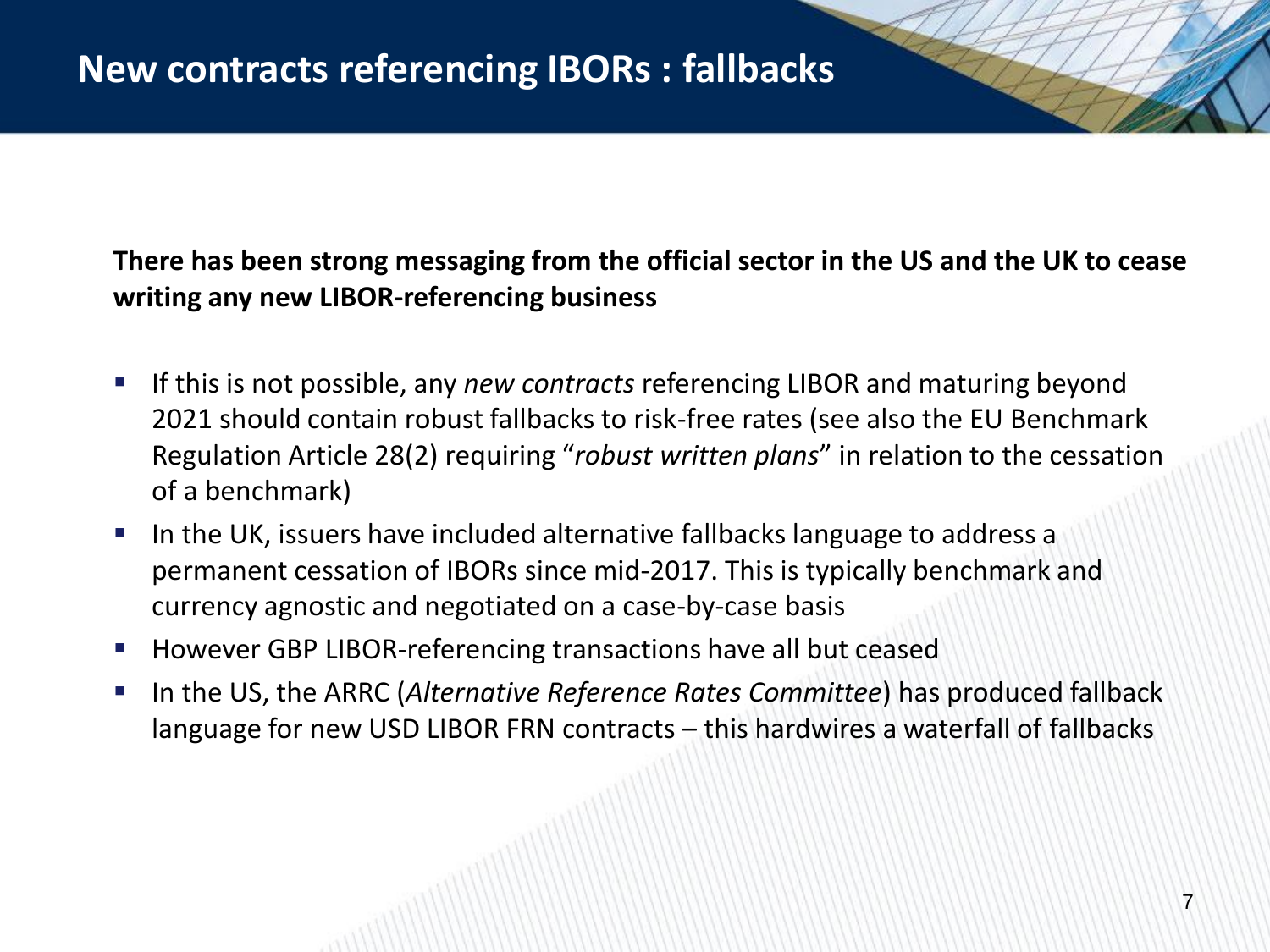**There has been strong messaging from the official sector in the US and the UK to cease writing any new LIBOR-referencing business**

- If this is not possible, any *new contracts* referencing LIBOR and maturing beyond 2021 should contain robust fallbacks to risk-free rates (see also the EU Benchmark Regulation Article 28(2) requiring "*robust written plans*" in relation to the cessation of a benchmark)
- **IF In the UK, issuers have included alternative fallbacks language to address a** permanent cessation of IBORs since mid-2017. This is typically benchmark and currency agnostic and negotiated on a case-by-case basis
- **However GBP LIBOR-referencing transactions have all but ceased**
- In the US, the ARRC (*Alternative Reference Rates Committee*) has produced fallback language for new USD LIBOR FRN contracts – this hardwires a waterfall of fallbacks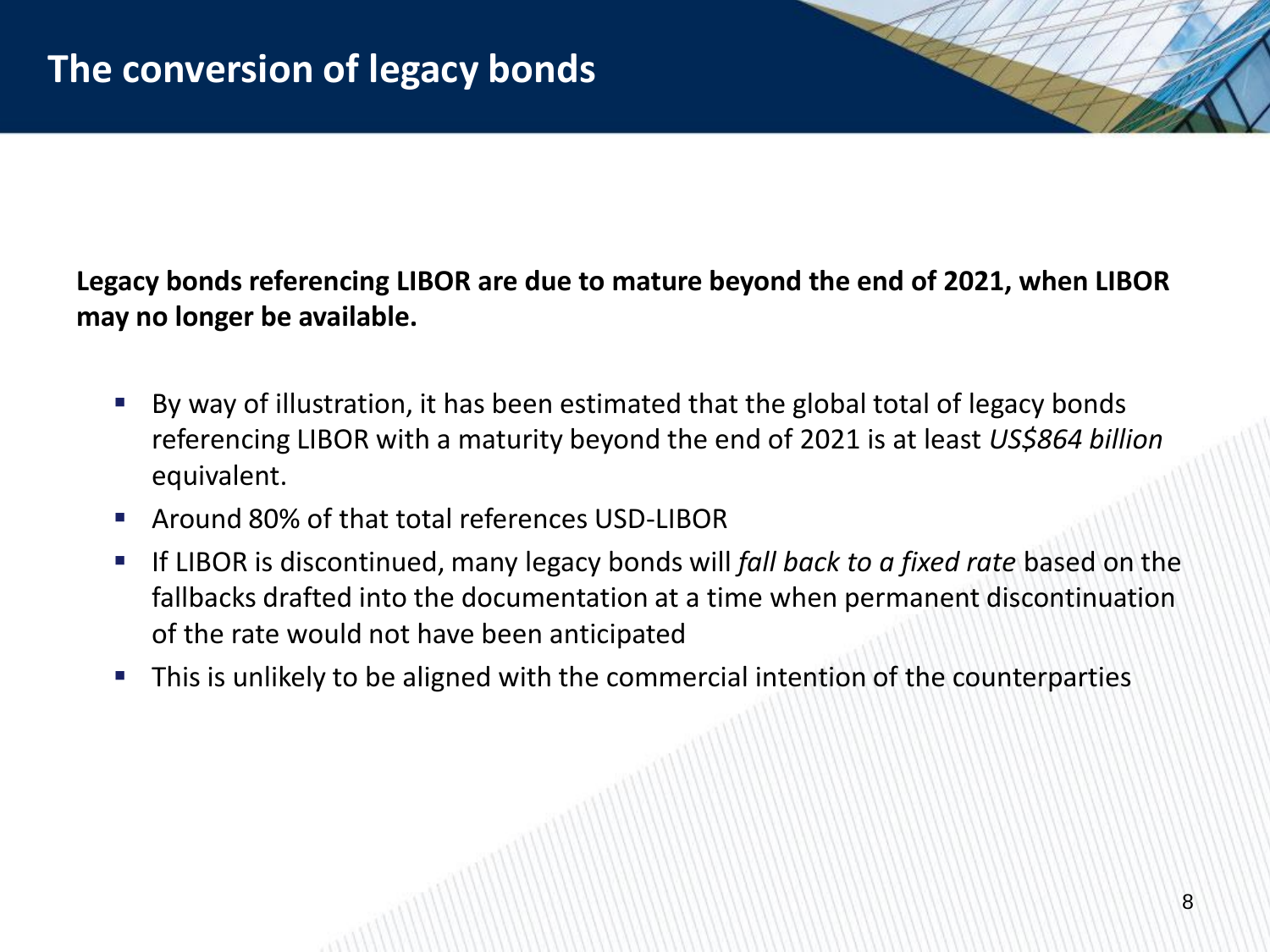**Legacy bonds referencing LIBOR are due to mature beyond the end of 2021, when LIBOR may no longer be available.** 

- By way of illustration, it has been estimated that the global total of legacy bonds referencing LIBOR with a maturity beyond the end of 2021 is at least *US\$864 billion*  equivalent.
- Around 80% of that total references USD-LIBOR
- If LIBOR is discontinued, many legacy bonds will *fall back to a fixed rate* based on the fallbacks drafted into the documentation at a time when permanent discontinuation of the rate would not have been anticipated
- This is unlikely to be aligned with the commercial intention of the counterparties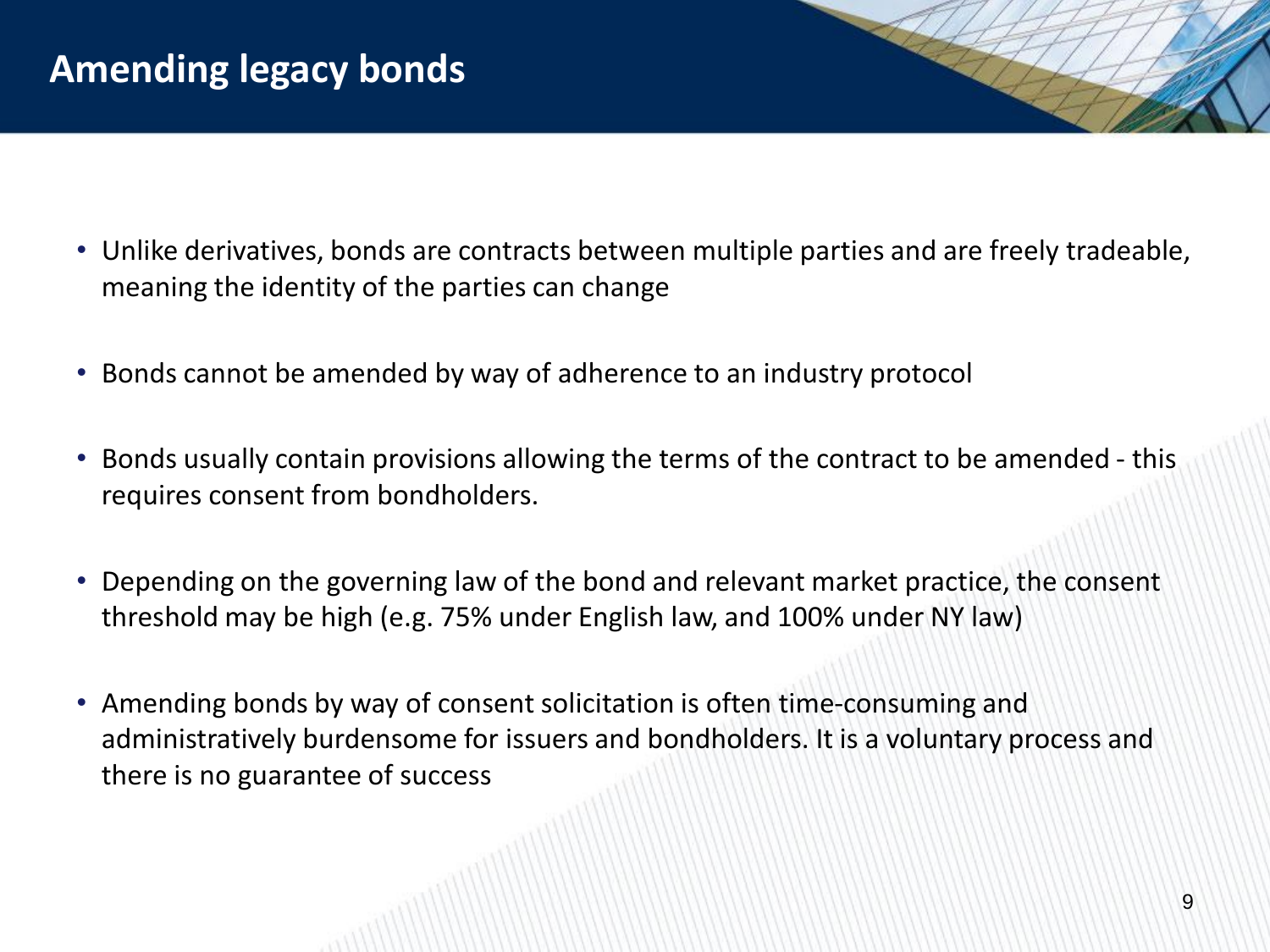- Unlike derivatives, bonds are contracts between multiple parties and are freely tradeable, meaning the identity of the parties can change
- Bonds cannot be amended by way of adherence to an industry protocol
- Bonds usually contain provisions allowing the terms of the contract to be amended this requires consent from bondholders.
- Depending on the governing law of the bond and relevant market practice, the consent threshold may be high (e.g. 75% under English law, and 100% under NY law)
- Amending bonds by way of consent solicitation is often time-consuming and administratively burdensome for issuers and bondholders. It is a voluntary process and there is no guarantee of success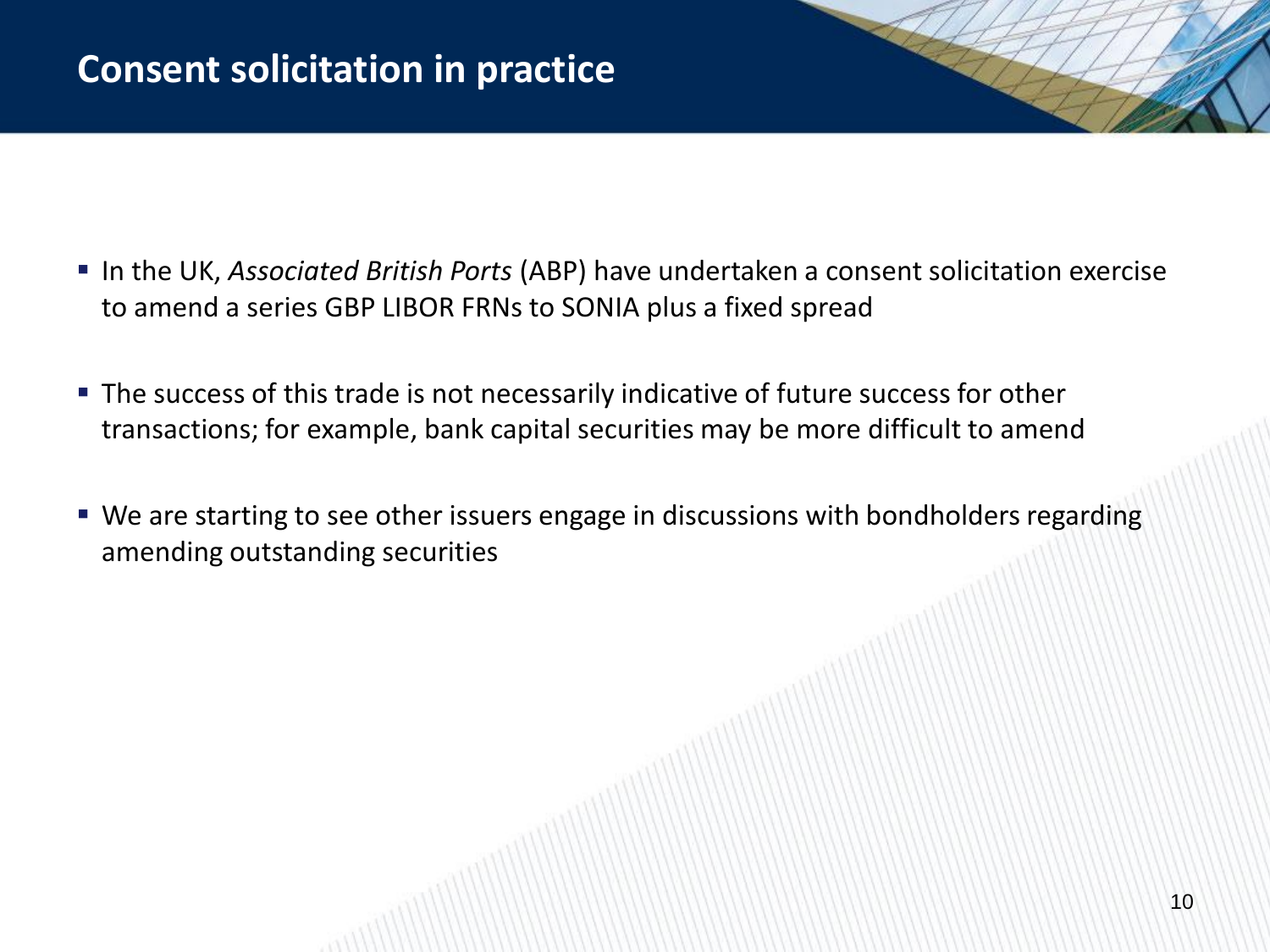## **Consent solicitation in practice**

- In the UK, *Associated British Ports* (ABP) have undertaken a consent solicitation exercise to amend a series GBP LIBOR FRNs to SONIA plus a fixed spread
- **The success of this trade is not necessarily indicative of future success for other** transactions; for example, bank capital securities may be more difficult to amend
- We are starting to see other issuers engage in discussions with bondholders regarding amending outstanding securities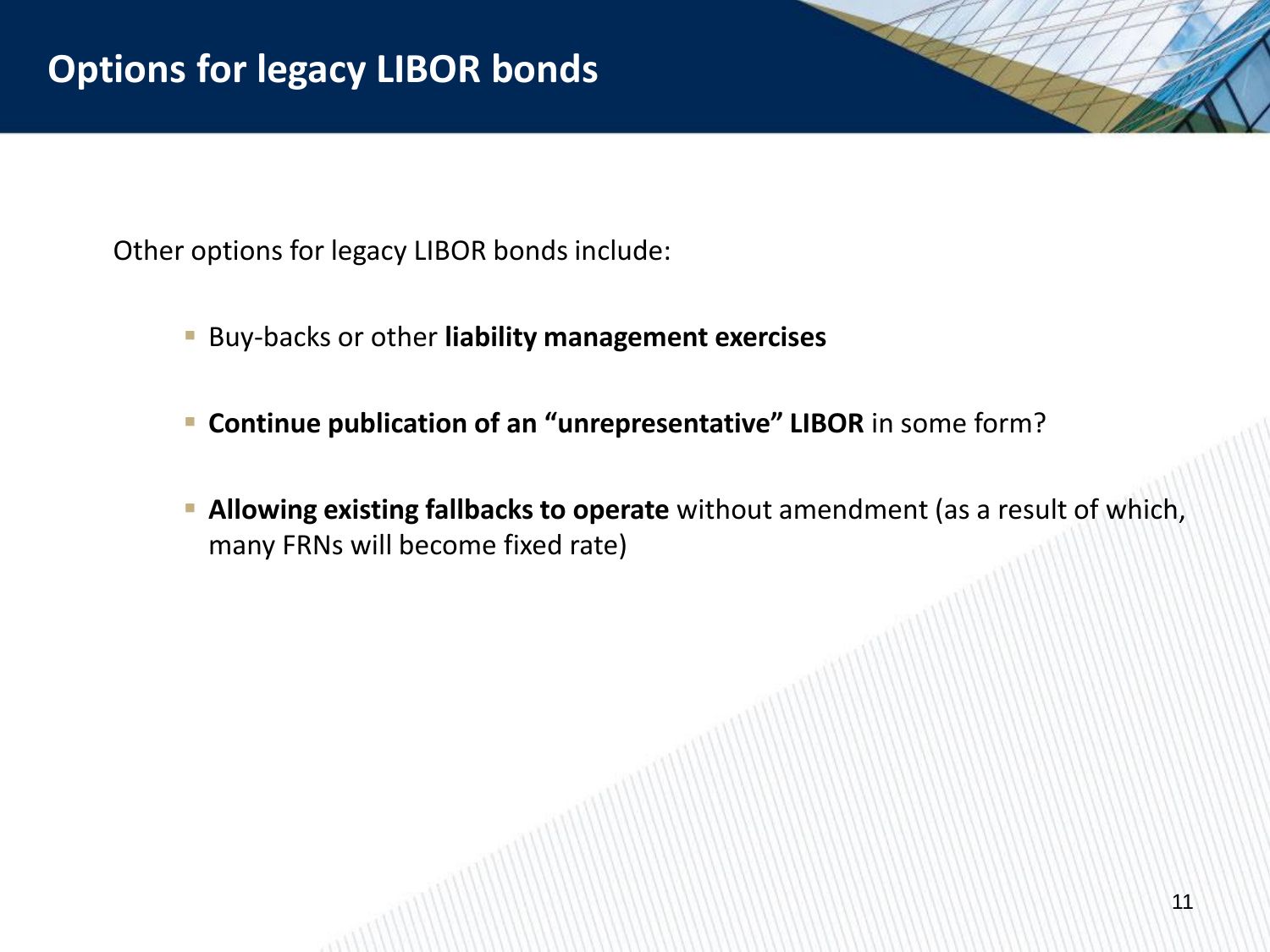Other options for legacy LIBOR bonds include:

- Buy-backs or other **liability management exercises**
- **Continue publication of an "unrepresentative" LIBOR** in some form?
- **Allowing existing fallbacks to operate** without amendment (as a result of which, many FRNs will become fixed rate)